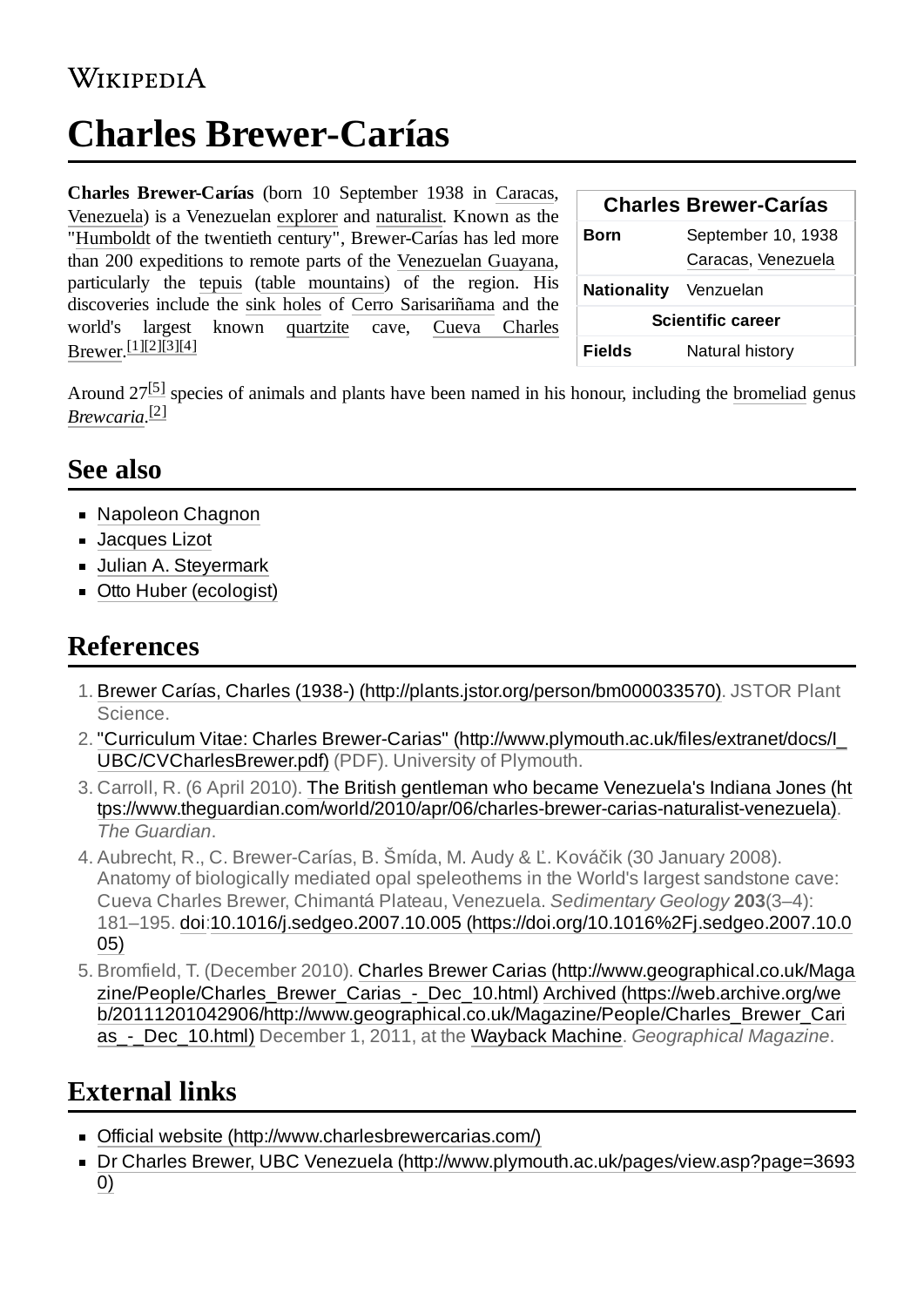## **WIKIPEDIA**

# **Charles Brewer-Carías**

**Charles Brewer-Carías** (born 10 September 1938 in [Caracas](https://en.wikipedia.org/wiki/Caracas), [Venezuela](https://en.wikipedia.org/wiki/Venezuela)) is a Venezuelan [explorer](https://en.wikipedia.org/wiki/Explorer) and [naturalist](https://en.wikipedia.org/wiki/Naturalist). Known as the "[Humboldt](https://en.wikipedia.org/wiki/Alexander_von_Humboldt) of the twentieth century", Brewer-Carías has led more than 200 expeditions to remote parts of the [Venezuelan Guayana](https://en.wikipedia.org/wiki/Guayana_Region,_Venezuela), particularly the [tepuis](https://en.wikipedia.org/wiki/Tepui) (table [mountains\)](https://en.wikipedia.org/wiki/Table_(landform)) of the region. His discoveries include the [sink holes](https://en.wikipedia.org/wiki/Sink_hole) of [Cerro Sarisariñama](https://en.wikipedia.org/wiki/Cerro_Sarisari%C3%B1ama) and the world's largest [known q](https://en.wikipedia.org/w/index.php?title=Cueva_Charles_Brewer&action=edit&redlink=1)[uartzit](https://en.wikipedia.org/wiki/Quartzite)[e](https://en.wikipedia.org/w/index.php?title=Cueva_Charles_Brewer&action=edit&redlink=1) cave, Cueva Charles Brewer. [\[1\]](#page-0-0)[\[2\]](#page-0-1)[\[3\]](#page-0-2)[\[4\]](#page-0-3)

| <b>Charles Brewer-Carías</b> |                                          |
|------------------------------|------------------------------------------|
| Born                         | September 10, 1938<br>Caracas, Venezuela |
| Nationality Venzuelan        |                                          |
| <b>Scientific career</b>     |                                          |
| Fields                       | Natural history                          |

Around  $27^{[5]}$  $27^{[5]}$  $27^{[5]}$  species of animals and plants have been named in his honour, including the [bromeliad](https://en.wikipedia.org/wiki/Bromeliad) genus *[Brewcaria](https://en.wikipedia.org/wiki/Brewcaria)*. [\[2\]](#page-0-1)

### **See also**

- **[Napoleon](https://en.wikipedia.org/wiki/Napoleon_Chagnon) Chagnon**
- [Jacques Lizot](https://en.wikipedia.org/w/index.php?title=Jacques_Lizot&action=edit&redlink=1)
- **Julian A. Stevermark**
- Otto Huber [\(ecologist\)](https://en.wikipedia.org/wiki/Otto_Huber_(ecologist))

# **References**

- <span id="page-0-0"></span>1. Brewer Carías, Charles (1938-) [\(http://plants.jstor.org/person/bm000033570\).](http://plants.jstor.org/person/bm000033570) JSTOR Plant Science.
- <span id="page-0-1"></span>2. "Curriculum Vitae: Charles Brewer-Carias" [\(http://www.plymouth.ac.uk/files/extranet/docs/I\\_](http://www.plymouth.ac.uk/files/extranet/docs/I_UBC/CVCharlesBrewer.pdf) UBC/CVCharlesBrewer.pdf) (PDF). University of Plymouth.
- <span id="page-0-2"></span>3. Carroll, R. (6 April 2010). The British gentleman who became Venezuela's Indiana Jones (ht [tps://www.theguardian.com/world/2010/apr/06/charles-brewer-carias-naturalist-venezuela\).](https://www.theguardian.com/world/2010/apr/06/charles-brewer-carias-naturalist-venezuela) *The Guardian*.
- <span id="page-0-3"></span>4. Aubrecht, R., C. Brewer-Carías, B. Šmída, M. Audy & Ľ. Kováčik (30 January 2008). Anatomy of biologically mediated opal speleothems in the World's largest sandstone cave: Cueva Charles Brewer, Chimantá Plateau, Venezuela. *Sedimentary Geology* **203**(3–4): 181–195. [doi:](https://en.wikipedia.org/wiki/Doi_(identifier))10.1016/j.sedgeo.2007.10.005 [\(https://doi.org/10.1016%2Fj.sedgeo.2007.10.0](https://doi.org/10.1016%2Fj.sedgeo.2007.10.005) 05)
- <span id="page-0-4"></span>5. Bromfield, T. (December 2010). Charles Brewer Carias (http://www.geographical.co.uk/Maga [zine/People/Charles\\_Brewer\\_Carias\\_-\\_Dec\\_10.html\)](http://www.geographical.co.uk/Magazine/People/Charles_Brewer_Carias_-_Dec_10.html) Archived (https://web.archive.org/we [b/20111201042906/http://www.geographical.co.uk/Magazine/People/Charles\\_Brewer\\_Cari](https://web.archive.org/web/20111201042906/http://www.geographical.co.uk/Magazine/People/Charles_Brewer_Carias_-_Dec_10.html) as\_-\_Dec\_10.html) December 1, 2011, at the [Wayback Machine](https://en.wikipedia.org/wiki/Wayback_Machine). *Geographical Magazine*.

# **External links**

- Official website [\(http://www.charlesbrewercarias.com/\)](http://www.charlesbrewercarias.com/)
- Dr Charles Brewer, UBC Venezuela [\(http://www.plymouth.ac.uk/pages/view.asp?page=3693](http://www.plymouth.ac.uk/pages/view.asp?page=36930) 0)